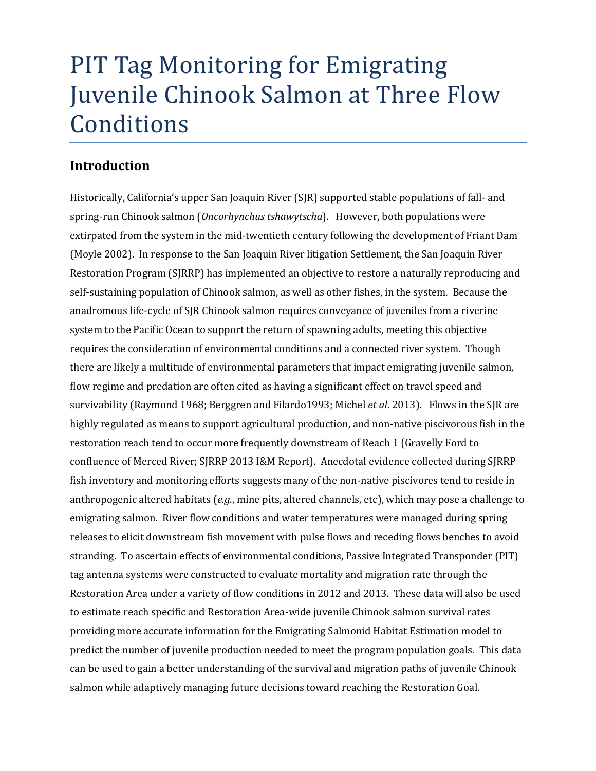# PIT Tag Monitoring for Emigrating Juvenile Chinook Salmon at Three Flow Conditions

## **Introduction**

Historically, California's upper San Joaquin River (SJR) supported stable populations of fall- and spring-run Chinook salmon (*Oncorhynchus tshawytscha*). However, both populations were extirpated from the system in the mid-twentieth century following the development of Friant Dam (Moyle 2002). In response to the San Joaquin River litigation Settlement, the San Joaquin River Restoration Program (SJRRP) has implemented an objective to restore a naturally reproducing and self-sustaining population of Chinook salmon, as well as other fishes, in the system. Because the anadromous life-cycle of SJR Chinook salmon requires conveyance of juveniles from a riverine system to the Pacific Ocean to support the return of spawning adults, meeting this objective requires the consideration of environmental conditions and a connected river system. Though there are likely a multitude of environmental parameters that impact emigrating juvenile salmon, flow regime and predation are often cited as having a significant effect on travel speed and survivability (Raymond 1968; Berggren and Filardo1993; Michel *et al*. 2013). Flows in the SJR are highly regulated as means to support agricultural production, and non-native piscivorous fish in the restoration reach tend to occur more frequently downstream of Reach 1 (Gravelly Ford to confluence of Merced River; SJRRP 2013 I&M Report). Anecdotal evidence collected during SJRRP fish inventory and monitoring efforts suggests many of the non-native piscivores tend to reside in anthropogenic altered habitats (*e.g*., mine pits, altered channels, etc), which may pose a challenge to emigrating salmon. River flow conditions and water temperatures were managed during spring releases to elicit downstream fish movement with pulse flows and receding flows benches to avoid stranding. To ascertain effects of environmental conditions, Passive Integrated Transponder (PIT) tag antenna systems were constructed to evaluate mortality and migration rate through the Restoration Area under a variety of flow conditions in 2012 and 2013. These data will also be used to estimate reach specific and Restoration Area-wide juvenile Chinook salmon survival rates providing more accurate information for the Emigrating Salmonid Habitat Estimation model to predict the number of juvenile production needed to meet the program population goals. This data can be used to gain a better understanding of the survival and migration paths of juvenile Chinook salmon while adaptively managing future decisions toward reaching the Restoration Goal.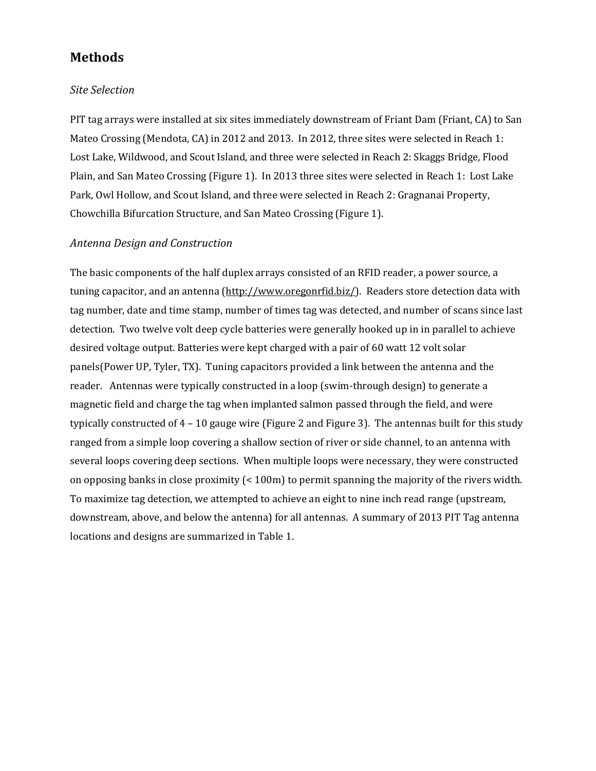## **Methods**

#### *Site Selection*

PIT tag arrays were installed at six sites immediately downstream of Friant Dam (Friant, CA) to San Mateo Crossing (Mendota, CA) in 2012 and 2013. In 2012, three sites were selected in Reach 1: Lost Lake, Wildwood, and Scout Island, and three were selected in Reach 2: Skaggs Bridge, Flood Plain, and San Mateo Crossing (Figure 1). In 2013 three sites were selected in Reach 1: Lost Lake Park, Owl Hollow, and Scout Island, and three were selected in Reach 2: Gragnanai Property, Chowchilla Bifurcation Structure, and San Mateo Crossing (Figure 1).

#### *Antenna Design and Construction*

The basic components of the half duplex arrays consisted of an RFID reader, a power source, a tuning capacitor, and an antenna [\(http://www.oregonrfid.biz/\)](http://www.oregonrfid.biz/). Readers store detection data with tag number, date and time stamp, number of times tag was detected, and number of scans since last detection. Two twelve volt deep cycle batteries were generally hooked up in in parallel to achieve desired voltage output. Batteries were kept charged with a pair of 60 watt 12 volt solar panels(Power UP, Tyler, TX). Tuning capacitors provided a link between the antenna and the reader. Antennas were typically constructed in a loop (swim-through design) to generate a magnetic field and charge the tag when implanted salmon passed through the field, and were typically constructed of 4 – 10 gauge wire (Figure 2 and Figure 3). The antennas built for this study ranged from a simple loop covering a shallow section of river or side channel, to an antenna with several loops covering deep sections. When multiple loops were necessary, they were constructed on opposing banks in close proximity (< 100m) to permit spanning the majority of the rivers width. To maximize tag detection, we attempted to achieve an eight to nine inch read range (upstream, downstream, above, and below the antenna) for all antennas. A summary of 2013 PIT Tag antenna locations and designs are summarized in Table 1.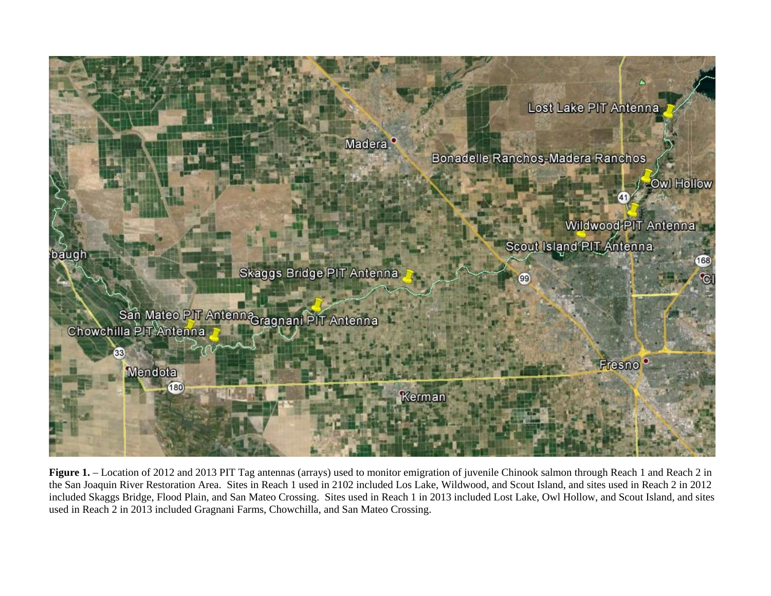

**Figure 1.** – Location of 2012 and 2013 PIT Tag antennas (arrays) used to monitor emigration of juvenile Chinook salmon through Reach 1 and Reach 2 in the San Joaquin River Restoration Area. Sites in Reach 1 used in 2102 included Los Lake, Wildwood, and Scout Island, and sites used in Reach 2 in 2012 included Skaggs Bridge, Flood Plain, and San Mateo Crossing. Sites used in Reach 1 in 2013 included Lost Lake, Owl Hollow, and Scout Island, and sites used in Reach 2 in 2013 included Gragnani Farms, Chowchilla, and San Mateo Crossing.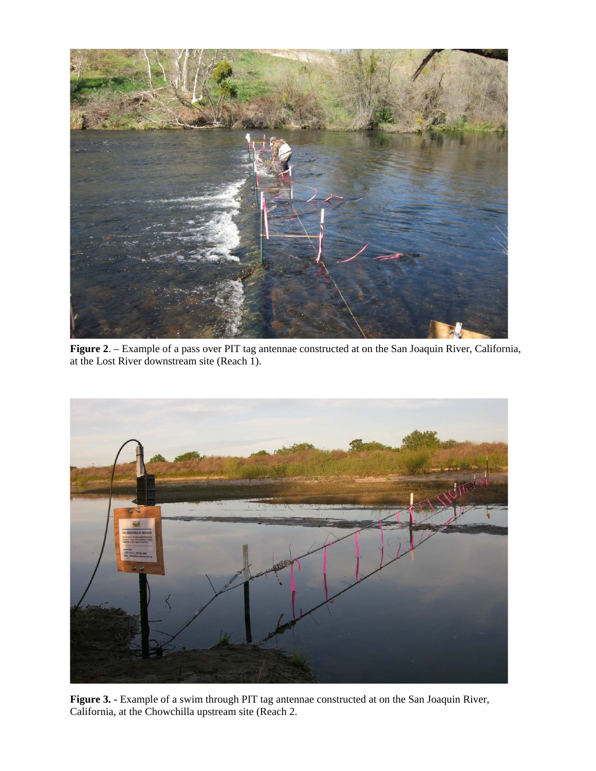

**Figure 2**. – Example of a pass over PIT tag antennae constructed at on the San Joaquin River, California, at the Lost River downstream site (Reach 1).



**Figure 3. -** Example of a swim through PIT tag antennae constructed at on the San Joaquin River, California, at the Chowchilla upstream site (Reach 2.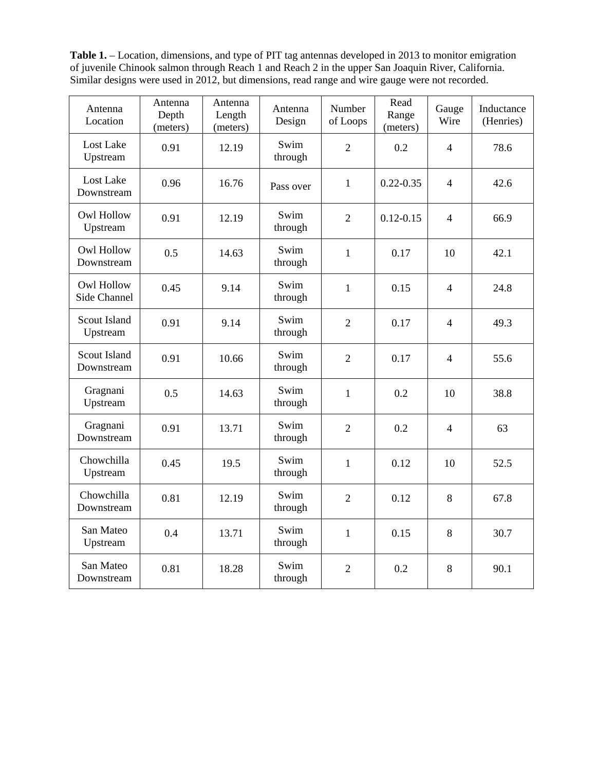**Table 1.** – Location, dimensions, and type of PIT tag antennas developed in 2013 to monitor emigration of juvenile Chinook salmon through Reach 1 and Reach 2 in the upper San Joaquin River, California. Similar designs were used in 2012, but dimensions, read range and wire gauge were not recorded.

| Antenna<br>Location               | Antenna<br>Depth<br>(meters) | Antenna<br>Length<br>(meters) | Antenna<br>Design | Number<br>of Loops | Read<br>Range<br>(meters) | Gauge<br>Wire  | Inductance<br>(Henries) |
|-----------------------------------|------------------------------|-------------------------------|-------------------|--------------------|---------------------------|----------------|-------------------------|
| Lost Lake<br>Upstream             | 0.91                         | 12.19                         | Swim<br>through   | $\overline{2}$     | 0.2                       | $\overline{4}$ | 78.6                    |
| Lost Lake<br>Downstream           | 0.96                         | 16.76                         | Pass over         | $\mathbf{1}$       | $0.22 - 0.35$             | $\overline{4}$ | 42.6                    |
| <b>Owl Hollow</b><br>Upstream     | 0.91                         | 12.19                         | Swim<br>through   | $\overline{2}$     | $0.12 - 0.15$             | $\overline{4}$ | 66.9                    |
| <b>Owl Hollow</b><br>Downstream   | 0.5                          | 14.63                         | Swim<br>through   | $\mathbf{1}$       | 0.17                      | 10             | 42.1                    |
| Owl Hollow<br>Side Channel        | 0.45                         | 9.14                          | Swim<br>through   | $\mathbf{1}$       | 0.15                      | $\overline{4}$ | 24.8                    |
| Scout Island<br>Upstream          | 0.91                         | 9.14                          | Swim<br>through   | $\overline{2}$     | 0.17                      | $\overline{4}$ | 49.3                    |
| <b>Scout Island</b><br>Downstream | 0.91                         | 10.66                         | Swim<br>through   | $\overline{2}$     | 0.17                      | $\overline{4}$ | 55.6                    |
| Gragnani<br>Upstream              | 0.5                          | 14.63                         | Swim<br>through   | $\mathbf{1}$       | 0.2                       | 10             | 38.8                    |
| Gragnani<br>Downstream            | 0.91                         | 13.71                         | Swim<br>through   | $\overline{2}$     | 0.2                       | $\overline{4}$ | 63                      |
| Chowchilla<br>Upstream            | 0.45                         | 19.5                          | Swim<br>through   | $\mathbf{1}$       | 0.12                      | 10             | 52.5                    |
| Chowchilla<br>Downstream          | 0.81                         | 12.19                         | Swim<br>through   | $\overline{2}$     | 0.12                      | 8              | 67.8                    |
| San Mateo<br>Upstream             | 0.4                          | 13.71                         | Swim<br>through   | $\mathbf{1}$       | 0.15                      | 8              | 30.7                    |
| San Mateo<br>Downstream           | 0.81                         | 18.28                         | Swim<br>through   | $\overline{2}$     | 0.2                       | 8              | 90.1                    |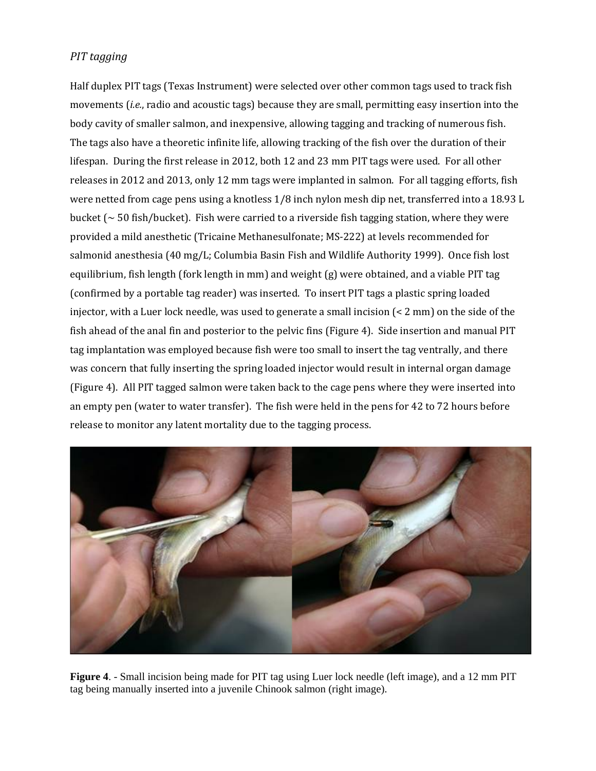### *PIT tagging*

Half duplex PIT tags (Texas Instrument) were selected over other common tags used to track fish movements (*i.e.*, radio and acoustic tags) because they are small, permitting easy insertion into the body cavity of smaller salmon, and inexpensive, allowing tagging and tracking of numerous fish. The tags also have a theoretic infinite life, allowing tracking of the fish over the duration of their lifespan. During the first release in 2012, both 12 and 23 mm PIT tags were used. For all other releases in 2012 and 2013, only 12 mm tags were implanted in salmon. For all tagging efforts, fish were netted from cage pens using a knotless 1/8 inch nylon mesh dip net, transferred into a 18.93 L bucket ( $\sim$  50 fish/bucket). Fish were carried to a riverside fish tagging station, where they were provided a mild anesthetic (Tricaine Methanesulfonate; MS-222) at levels recommended for salmonid anesthesia (40 mg/L; Columbia Basin Fish and Wildlife Authority 1999). Once fish lost equilibrium, fish length (fork length in mm) and weight (g) were obtained, and a viable PIT tag (confirmed by a portable tag reader) was inserted. To insert PIT tags a plastic spring loaded injector, with a Luer lock needle, was used to generate a small incision (< 2 mm) on the side of the fish ahead of the anal fin and posterior to the pelvic fins (Figure 4). Side insertion and manual PIT tag implantation was employed because fish were too small to insert the tag ventrally, and there was concern that fully inserting the spring loaded injector would result in internal organ damage (Figure 4). All PIT tagged salmon were taken back to the cage pens where they were inserted into an empty pen (water to water transfer). The fish were held in the pens for 42 to 72 hours before release to monitor any latent mortality due to the tagging process.



**Figure** 4. - Small incision being made for PIT tag using Luer lock needle (left image), and a 12 mm PIT tag being manually inserted into a juvenile Chinook salmon (right image).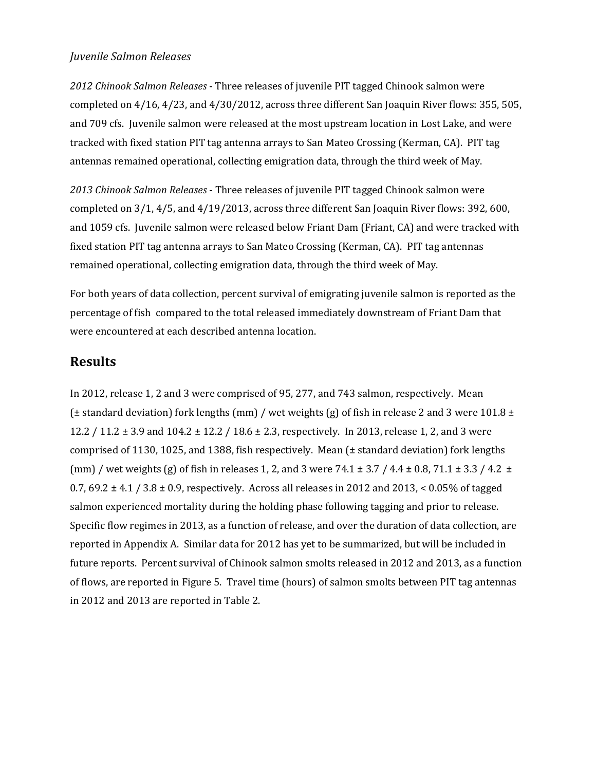#### *Juvenile Salmon Releases*

*2012 Chinook Salmon Releases* - Three releases of juvenile PIT tagged Chinook salmon were completed on 4/16, 4/23, and 4/30/2012, across three different San Joaquin River flows: 355, 505, and 709 cfs. Juvenile salmon were released at the most upstream location in Lost Lake, and were tracked with fixed station PIT tag antenna arrays to San Mateo Crossing (Kerman, CA). PIT tag antennas remained operational, collecting emigration data, through the third week of May.

*2013 Chinook Salmon Releases* - Three releases of juvenile PIT tagged Chinook salmon were completed on 3/1, 4/5, and 4/19/2013, across three different San Joaquin River flows: 392, 600, and 1059 cfs. Juvenile salmon were released below Friant Dam (Friant, CA) and were tracked with fixed station PIT tag antenna arrays to San Mateo Crossing (Kerman, CA). PIT tag antennas remained operational, collecting emigration data, through the third week of May.

For both years of data collection, percent survival of emigrating juvenile salmon is reported as the percentage of fish compared to the total released immediately downstream of Friant Dam that were encountered at each described antenna location.

## **Results**

In 2012, release 1, 2 and 3 were comprised of 95, 277, and 743 salmon, respectively. Mean ( $\pm$  standard deviation) fork lengths (mm) / wet weights (g) of fish in release 2 and 3 were 101.8  $\pm$ 12.2 / 11.2 ± 3.9 and 104.2 ± 12.2 / 18.6 ± 2.3, respectively. In 2013, release 1, 2, and 3 were comprised of 1130, 1025, and 1388, fish respectively. Mean (± standard deviation) fork lengths (mm) / wet weights (g) of fish in releases 1, 2, and 3 were 74.1  $\pm$  3.7 / 4.4  $\pm$  0.8, 71.1  $\pm$  3.3 / 4.2  $\pm$ 0.7,  $69.2 \pm 4.1 / 3.8 \pm 0.9$ , respectively. Across all releases in 2012 and 2013, < 0.05% of tagged salmon experienced mortality during the holding phase following tagging and prior to release. Specific flow regimes in 2013, as a function of release, and over the duration of data collection, are reported in Appendix A. Similar data for 2012 has yet to be summarized, but will be included in future reports. Percent survival of Chinook salmon smolts released in 2012 and 2013, as a function of flows, are reported in Figure 5. Travel time (hours) of salmon smolts between PIT tag antennas in 2012 and 2013 are reported in Table 2.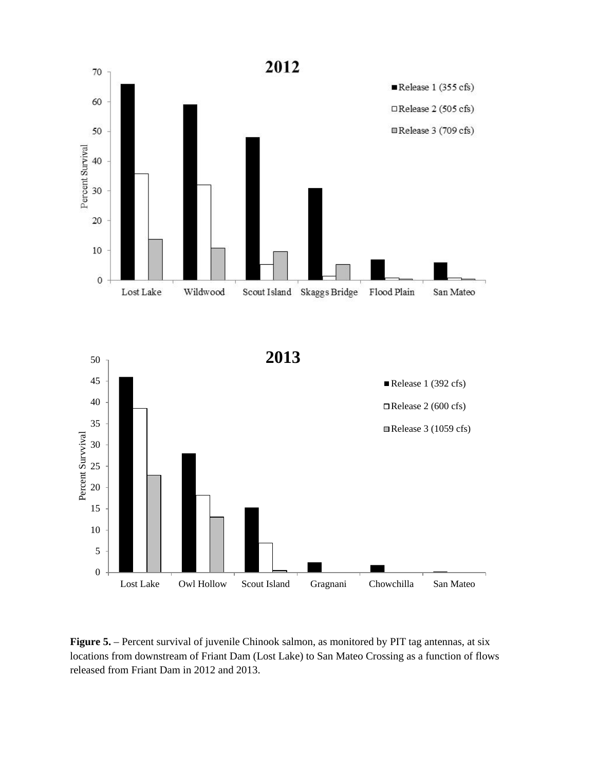

Figure 5. – Percent survival of juvenile Chinook salmon, as monitored by PIT tag antennas, at six locations from downstream of Friant Dam (Lost Lake) to San Mateo Crossing as a function of flows released from Friant Dam in 2012 and 2013.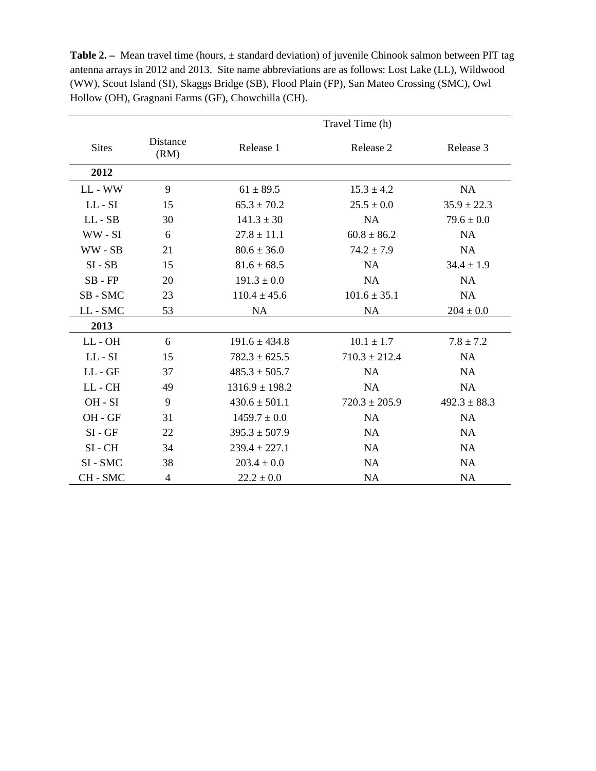|              |                  | Travel Time (h)    |                   |                  |  |  |  |
|--------------|------------------|--------------------|-------------------|------------------|--|--|--|
| <b>Sites</b> | Distance<br>(RM) | Release 1          | Release 2         | Release 3        |  |  |  |
| 2012         |                  |                    |                   |                  |  |  |  |
| LL - WW      | 9                | $61 \pm 89.5$      | $15.3 \pm 4.2$    | <b>NA</b>        |  |  |  |
| $LL$ - $SI$  | 15               | $65.3 \pm 70.2$    | $25.5 \pm 0.0$    | $35.9 \pm 22.3$  |  |  |  |
| $LL - SB$    | 30               | $141.3 \pm 30$     | NA                | $79.6 \pm 0.0$   |  |  |  |
| WW - SI      | 6                | $27.8 \pm 11.1$    | $60.8 \pm 86.2$   | NA               |  |  |  |
| WW-SB        | 21               | $80.6 \pm 36.0$    | $74.2 \pm 7.9$    | NA               |  |  |  |
| $SI - SB$    | 15               | $81.6 \pm 68.5$    | <b>NA</b>         | $34.4 \pm 1.9$   |  |  |  |
| $SB$ - $FP$  | 20               | $191.3 \pm 0.0$    | NA                | <b>NA</b>        |  |  |  |
| SB-SMC       | 23               | $110.4 \pm 45.6$   | $101.6 \pm 35.1$  | NA               |  |  |  |
| LL - SMC     | 53               | NA                 | NA                | $204 \pm 0.0$    |  |  |  |
| 2013         |                  |                    |                   |                  |  |  |  |
| LL-OH        | 6                | $191.6 \pm 434.8$  | $10.1 \pm 1.7$    | $7.8 \pm 7.2$    |  |  |  |
| $LL - SI$    | 15               | $782.3 \pm 625.5$  | $710.3 \pm 212.4$ | <b>NA</b>        |  |  |  |
| $LL - GF$    | 37               | $485.3 \pm 505.7$  | <b>NA</b>         | <b>NA</b>        |  |  |  |
| LL-CH        | 49               | $1316.9 \pm 198.2$ | <b>NA</b>         | NA               |  |  |  |
| OH - SI      | 9                | $430.6 \pm 501.1$  | $720.3 \pm 205.9$ | $492.3 \pm 88.3$ |  |  |  |
| OH - GF      | 31               | $1459.7 \pm 0.0$   | NA                | NA               |  |  |  |
| $SI - GF$    | 22               | $395.3 \pm 507.9$  | NA                | NA               |  |  |  |
| $SI - CH$    | 34               | $239.4 \pm 227.1$  | <b>NA</b>         | NA               |  |  |  |
| SI - SMC     | 38               | $203.4 \pm 0.0$    | NA                | <b>NA</b>        |  |  |  |
| CH - SMC     | $\overline{4}$   | $22.2 \pm 0.0$     | <b>NA</b>         | <b>NA</b>        |  |  |  |

Table 2. – Mean travel time (hours,  $\pm$  standard deviation) of juvenile Chinook salmon between PIT tag antenna arrays in 2012 and 2013. Site name abbreviations are as follows: Lost Lake (LL), Wildwood (WW), Scout Island (SI), Skaggs Bridge (SB), Flood Plain (FP), San Mateo Crossing (SMC), Owl Hollow (OH), Gragnani Farms (GF), Chowchilla (CH).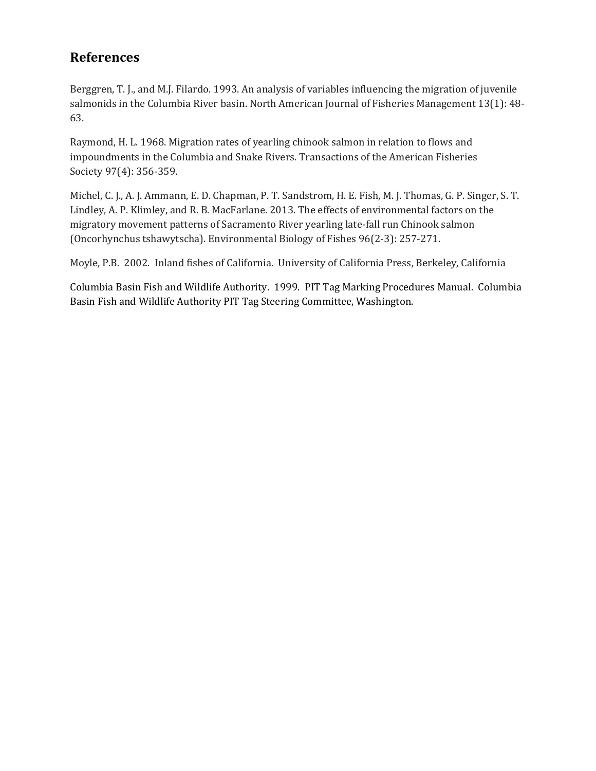## **References**

Berggren, T. J., and M.J. Filardo. 1993. An analysis of variables influencing the migration of juvenile salmonids in the Columbia River basin. North American Journal of Fisheries Management 13(1): 48- 63.

Raymond, H. L. 1968. Migration rates of yearling chinook salmon in relation to flows and impoundments in the Columbia and Snake Rivers. Transactions of the American Fisheries Society 97(4): 356-359.

Michel, C. J., A. J. Ammann, E. D. Chapman, P. T. Sandstrom, H. E. Fish, M. J. Thomas, G. P. Singer, S. T. Lindley, A. P. Klimley, and R. B. MacFarlane. 2013. The effects of environmental factors on the migratory movement patterns of Sacramento River yearling late-fall run Chinook salmon (Oncorhynchus tshawytscha). Environmental Biology of Fishes 96(2-3): 257-271.

Moyle, P.B. 2002. Inland fishes of California. University of California Press, Berkeley, California

Columbia Basin Fish and Wildlife Authority. 1999. PIT Tag Marking Procedures Manual. Columbia Basin Fish and Wildlife Authority PIT Tag Steering Committee, Washington.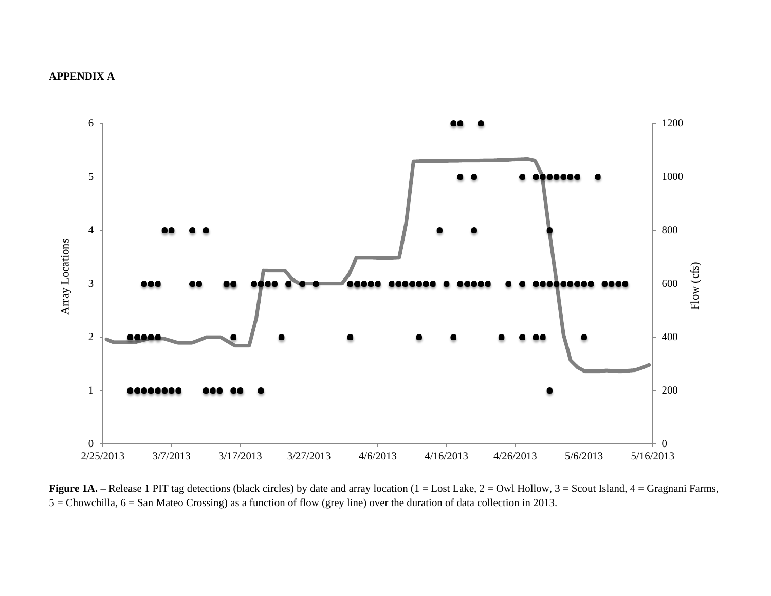



Figure 1A. – Release 1 PIT tag detections (black circles) by date and array location (1 = Lost Lake, 2 = Owl Hollow, 3 = Scout Island, 4 = Gragnani Farms, 5 = Chowchilla, 6 = San Mateo Crossing) as a function of flow (grey line) over the duration of data collection in 2013.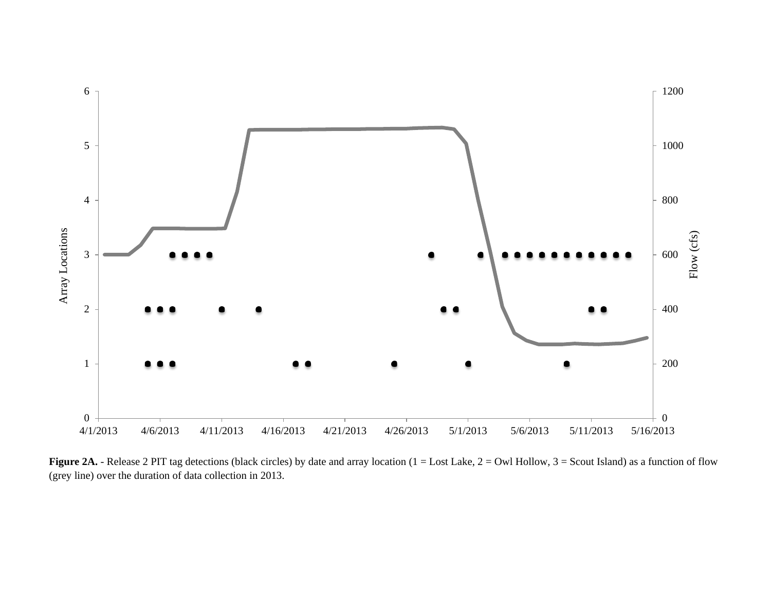

Figure 2A. - Release 2 PIT tag detections (black circles) by date and array location (1 = Lost Lake, 2 = Owl Hollow, 3 = Scout Island) as a function of flow (grey line) over the duration of data collection in 2013.